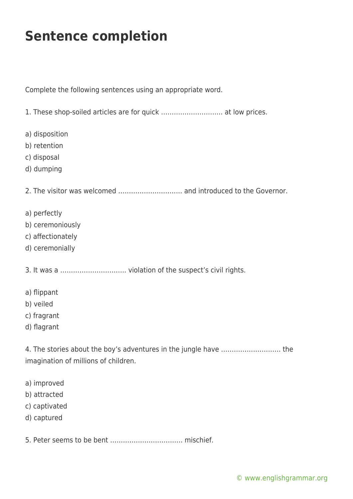## **Sentence completion**

Complete the following sentences using an appropriate word.

1. These shop-soiled articles are for quick ……………………….. at low prices.

- a) disposition
- b) retention
- c) disposal
- d) dumping

2. The visitor was welcomed ………………………… and introduced to the Governor.

- a) perfectly
- b) ceremoniously
- c) affectionately
- d) ceremonially

3. It was a …………………………. violation of the suspect's civil rights.

- a) flippant
- b) veiled
- c) fragrant
- d) flagrant

4. The stories about the boy's adventures in the jungle have ………………………. the imagination of millions of children.

- a) improved
- b) attracted
- c) captivated
- d) captured
- 5. Peter seems to be bent ……………………………. mischief.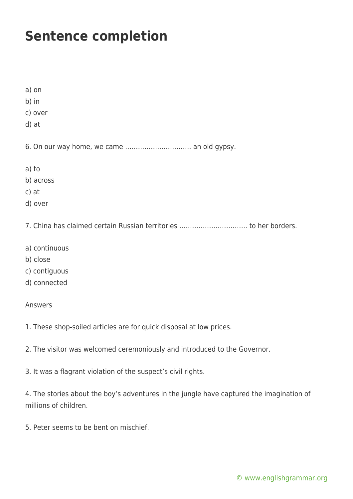## **Sentence completion**

a) on

b) in

- c) over
- d) at

6. On our way home, we came …………………………. an old gypsy.

- a) to
- b) across
- c) at
- d) over

7. China has claimed certain Russian territories ………………………….. to her borders.

- a) continuous
- b) close
- c) contiguous
- d) connected

## Answers

- 1. These shop-soiled articles are for quick disposal at low prices.
- 2. The visitor was welcomed ceremoniously and introduced to the Governor.
- 3. It was a flagrant violation of the suspect's civil rights.

4. The stories about the boy's adventures in the jungle have captured the imagination of millions of children.

5. Peter seems to be bent on mischief.